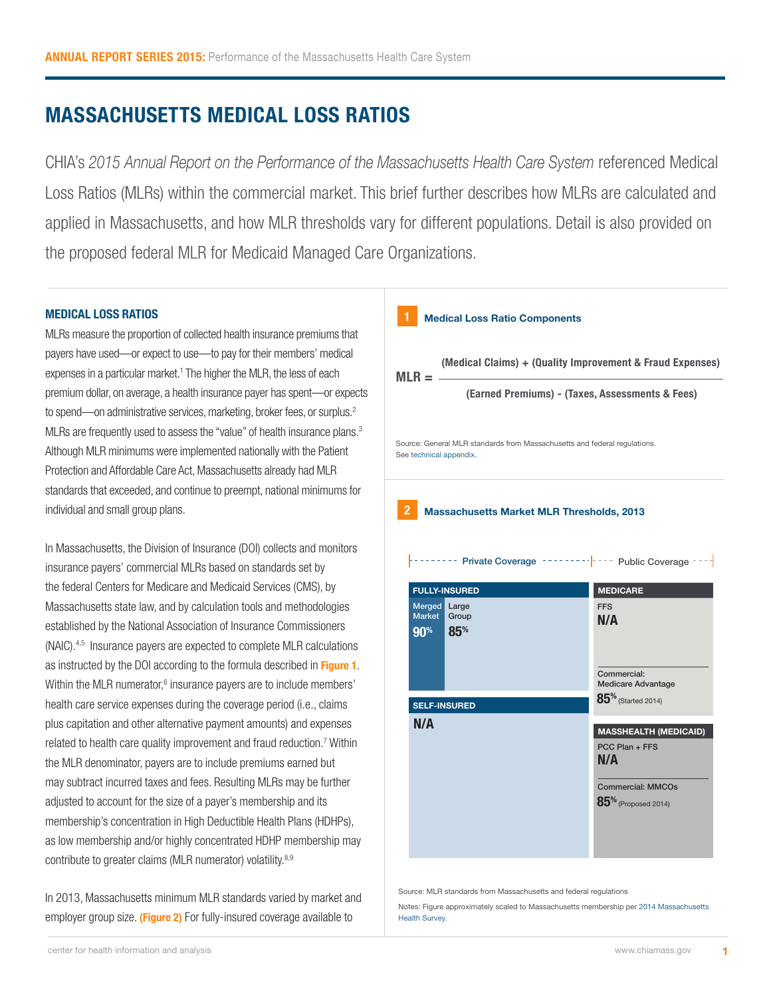# **MASSACHUSETTS MEDICAL LOSS RATIOS**

CHIA's *2015 Annual Report on the Performance of the Massachusetts Health Care System* referenced Medical Loss Ratios (MLRs) within the commercial market. This brief further describes how MLRs are calculated and applied in Massachusetts, and how MLR thresholds vary for different populations. Detail is also provided on the proposed federal MLR for Medicaid Managed Care Organizations.

## **MEDICAL LOSS RATIOS**

MLRs measure the proportion of collected health insurance premiums that payers have used—or expect to use—to pay for their members' medical expenses in a particular market.<sup>1</sup> The higher the MLR, the less of each premium dollar, on average, a health insurance payer has spent—or expects to spend—on administrative services, marketing, broker fees, or surplus.<sup>2</sup> MLRs are frequently used to assess the "value" of health insurance plans.<sup>3</sup> Although MLR minimums were implemented nationally with the Patient Protection and Affordable Care Act, Massachusetts already had MLR standards that exceeded, and continue to preempt, national minimums for individual and small group plans.

In Massachusetts, the Division of Insurance (DOI) collects and monitors insurance payers' commercial MLRs based on standards set by the federal Centers for Medicare and Medicaid Services (CMS), by Massachusetts state law, and by calculation tools and methodologies established by the National Association of Insurance Commissioners (NAIC).4,5 Insurance payers are expected to complete MLR calculations as instructed by the DOI according to the formula described in **Figure 1**. Within the MLR numerator,<sup>6</sup> insurance payers are to include members' health care service expenses during the coverage period (i.e., claims plus capitation and other alternative payment amounts) and expenses related to health care quality improvement and fraud reduction.<sup>7</sup> Within the MLR denominator, payers are to include premiums earned but may subtract incurred taxes and fees. Resulting MLRs may be further adjusted to account for the size of a payer's membership and its membership's concentration in High Deductible Health Plans (HDHPs), as low membership and/or highly concentrated HDHP membership may contribute to greater claims (MLR numerator) volatility.<sup>8,9</sup>

In 2013, Massachusetts minimum MLR standards varied by market and employer group size. **(Figure 2)** For fully-insured coverage available to



Source: MLR standards from Massachusetts and federal regulations

Notes: Figure approximately scaled to Massachusetts membership per [2014 Massachusetts](http://www.chiamass.gov/insurance-surveys/)  [Health Survey.](http://www.chiamass.gov/insurance-surveys/)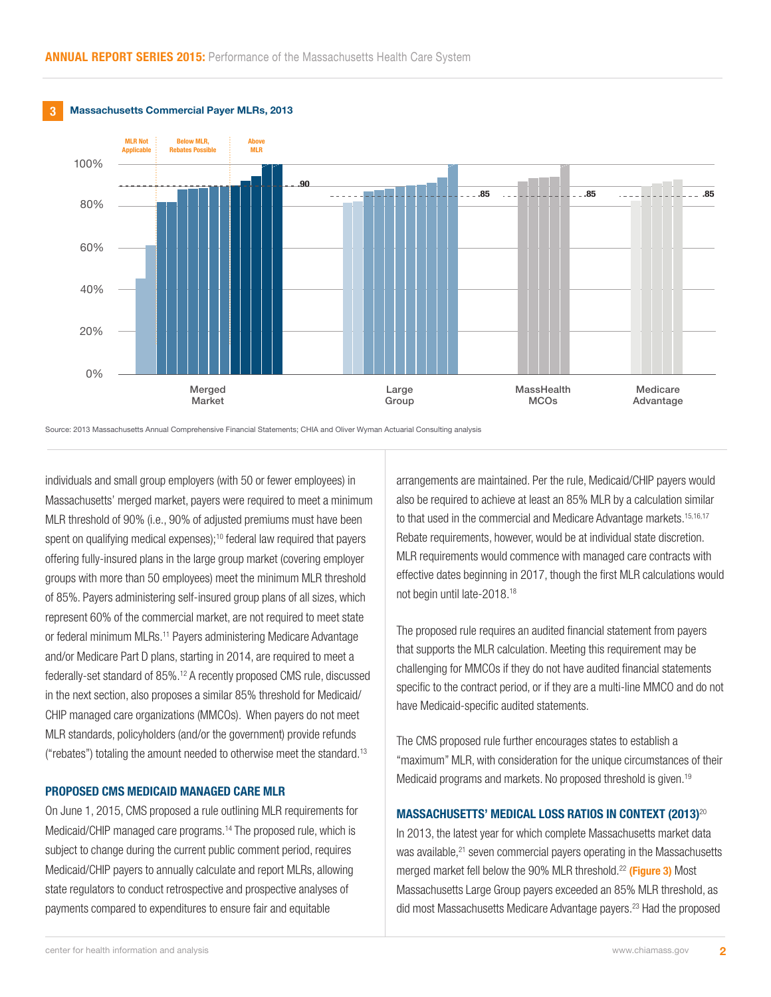120%

120%

120%



Source: 2013 Massachusetts Annual Comprehensive Financial Statements; CHIA and Oliver Wyman Actuarial Consulting analysis

individuals and small group employers (with 50 or fewer employees) in Massachusetts' merged market, payers were required to meet a minimum MLR threshold of 90% (i.e., 90% of adjusted premiums must have been spent on qualifying medical expenses);<sup>10</sup> federal law required that payers offering fully-insured plans in the large group market (covering employer groups with more than 50 employees) meet the minimum MLR threshold of 85%. Payers administering self-insured group plans of all sizes, which represent 60% of the commercial market, are not required to meet state or federal minimum MLRs.<sup>11</sup> Payers administering Medicare Advantage and/or Medicare Part D plans, starting in 2014, are required to meet a federally-set standard of 85%.12 A recently proposed CMS rule, discussed in the next section, also proposes a similar 85% threshold for Medicaid/ CHIP managed care organizations (MMCOs). When payers do not meet MLR standards, policyholders (and/or the government) provide refunds ("rebates") totaling the amount needed to otherwise meet the standard.<sup>13</sup>

#### **PROPOSED CMS MEDICAID MANAGED CARE MLR**

On June 1, 2015, CMS proposed a rule outlining MLR requirements for Medicaid/CHIP managed care programs.14 The proposed rule, which is subject to change during the current public comment period, requires Medicaid/CHIP payers to annually calculate and report MLRs, allowing state regulators to conduct retrospective and prospective analyses of payments compared to expenditures to ensure fair and equitable

arrangements are maintained. Per the rule, Medicaid/CHIP payers would also be required to achieve at least an 85% MLR by a calculation similar to that used in the commercial and Medicare Advantage markets.<sup>15,16,17</sup> Rebate requirements, however, would be at individual state discretion. MLR requirements would commence with managed care contracts with effective dates beginning in 2017, though the first MLR calculations would not begin until late-2018.18

The proposed rule requires an audited financial statement from payers that supports the MLR calculation. Meeting this requirement may be challenging for MMCOs if they do not have audited financial statements specific to the contract period, or if they are a multi-line MMCO and do not have Medicaid-specific audited statements.

The CMS proposed rule further encourages states to establish a "maximum" MLR, with consideration for the unique circumstances of their Medicaid programs and markets. No proposed threshold is given.<sup>19</sup>

### **MASSACHUSETTS' MEDICAL LOSS RATIOS IN CONTEXT (2013)**<sup>20</sup>

In 2013, the latest year for which complete Massachusetts market data was available,<sup>21</sup> seven commercial payers operating in the Massachusetts merged market fell below the 90% MLR threshold.22 **(Figure 3)** Most Massachusetts Large Group payers exceeded an 85% MLR threshold, as did most Massachusetts Medicare Advantage payers.23 Had the proposed